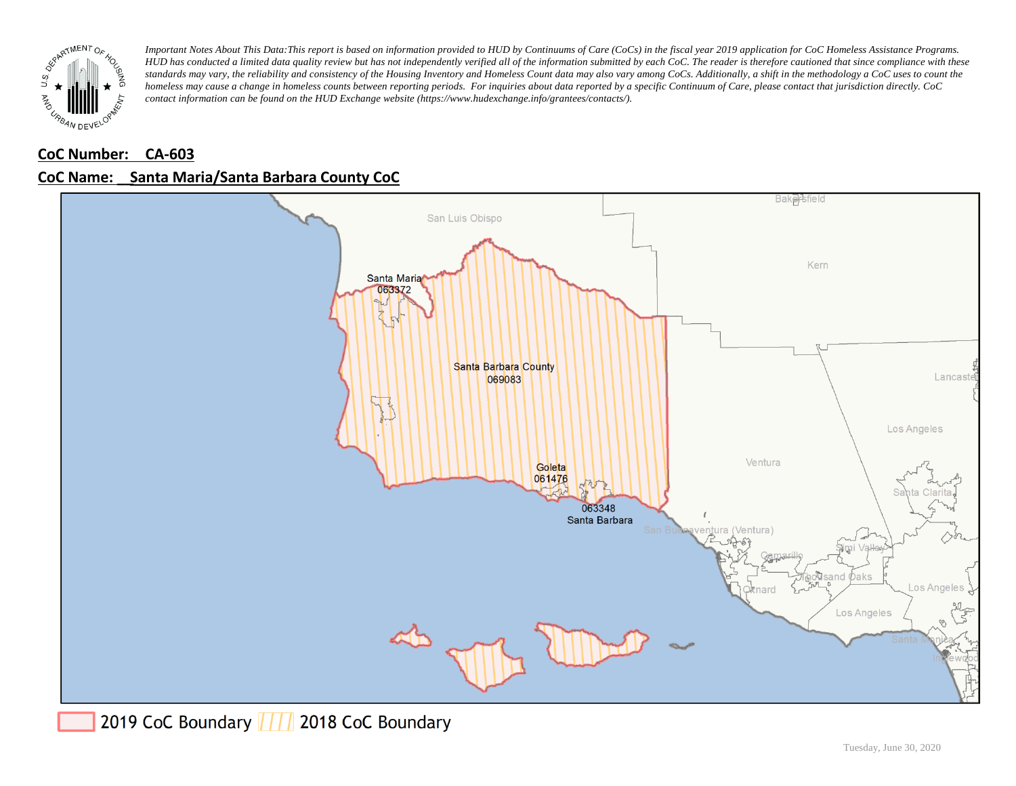

### **CoC Number: CA-603**

### **CoC Name: \_\_ Santa Maria/Santa Barbara County CoC**



2019 CoC Boundary | | | 2018 CoC Boundary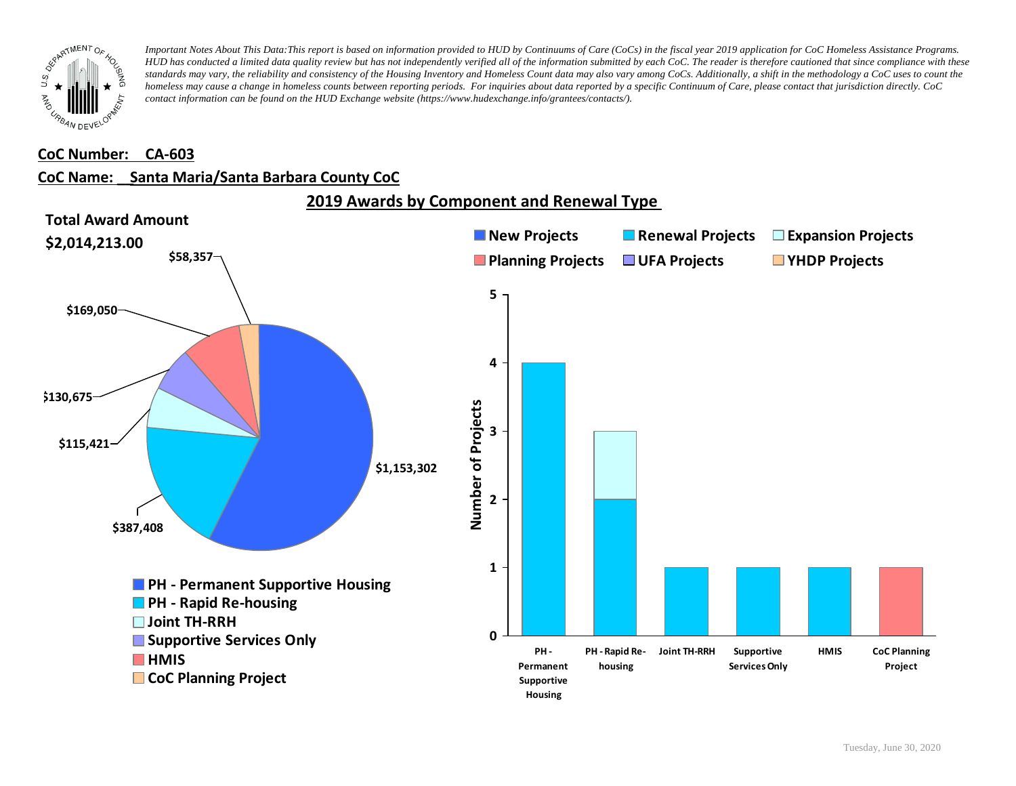

#### **CoC Number: CA-603**

#### **CoC Name: \_\_ Santa Maria/Santa Barbara County CoC**



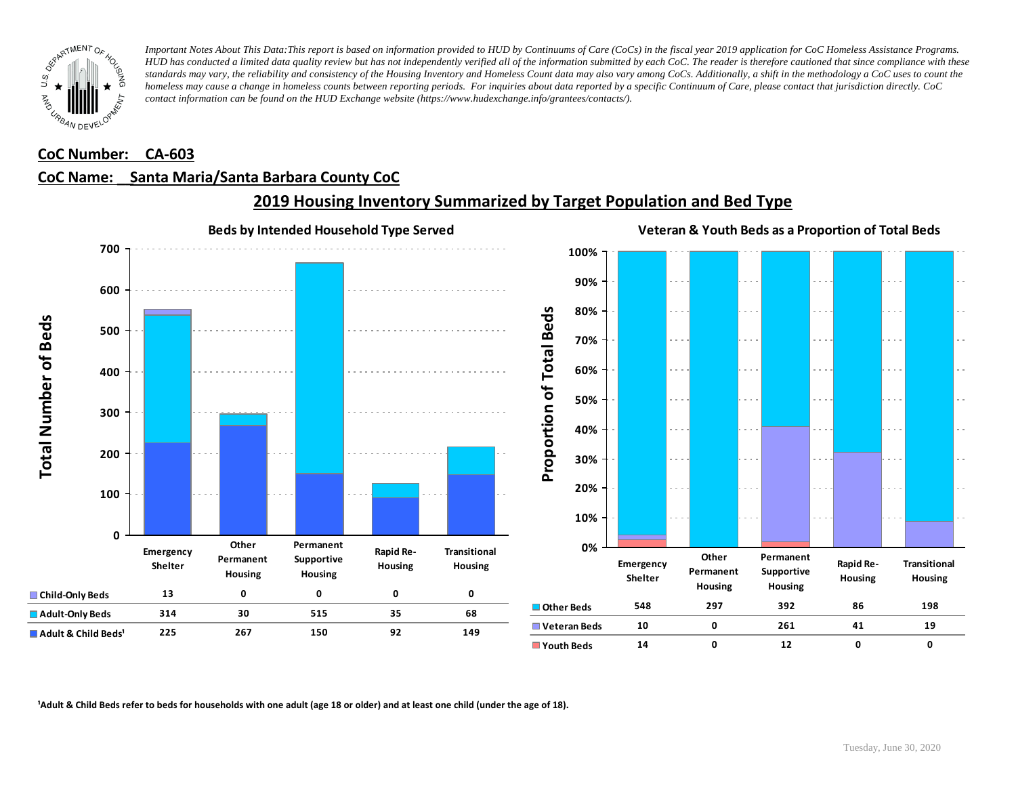

#### **CoC Number: CA-603**

#### **CoC Name: \_\_ Santa Maria/Santa Barbara County CoC**



## **2019 Housing Inventory Summarized by Target Population and Bed Type**

<sup>1</sup> Adult & Child Beds refer to beds for households with one adult (age 18 or older) and at least one child (under the age of 18).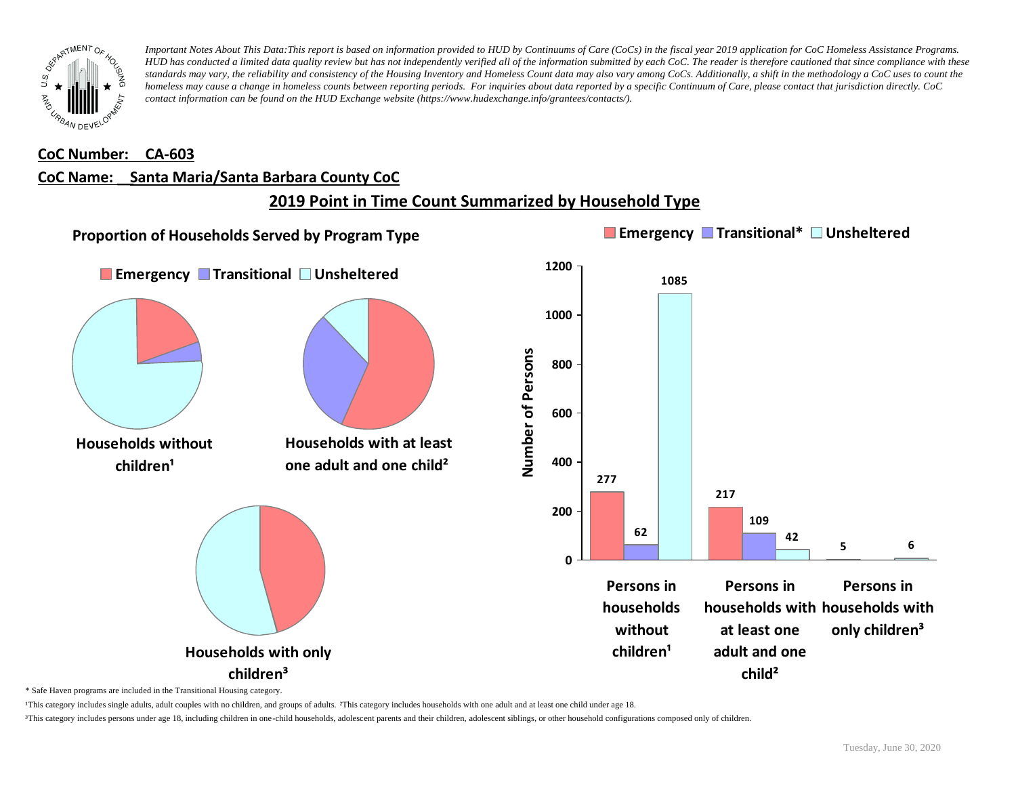

#### **CoC Number: CA-603**

#### **CoC Name: \_\_ Santa Maria/Santa Barbara County CoC**

## **2019 Point in Time Count Summarized by Household Type**



\* Safe Haven programs are included in the Transitional Housing category.

¹This category includes single adults, adult couples with no children, and groups of adults. ²This category includes households with one adult and at least one child under age 18.

³This category includes persons under age 18, including children in one-child households, adolescent parents and their children, adolescent siblings, or other household configurations composed only of children.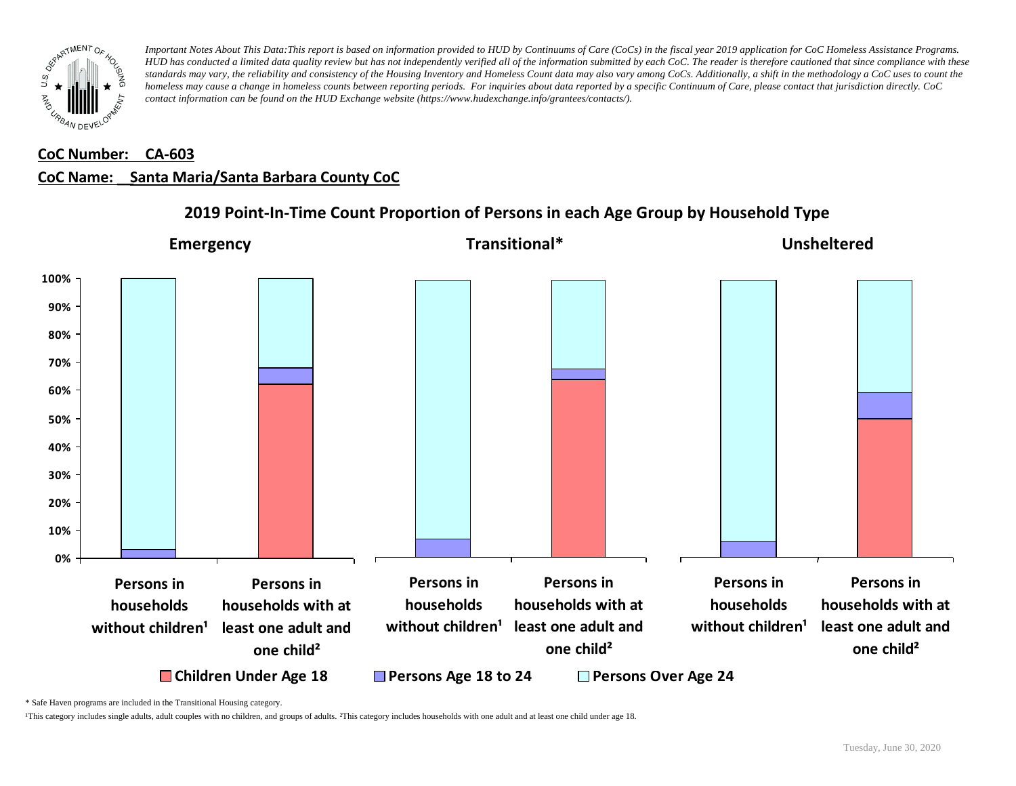

### **CoC Number: CA-603**

### **CoC Name: \_\_ Santa Maria/Santa Barbara County CoC**



### **2019 Point-In-Time Count Proportion of Persons in each Age Group by Household Type**

\* Safe Haven programs are included in the Transitional Housing category.

¹This category includes single adults, adult couples with no children, and groups of adults. ²This category includes households with one adult and at least one child under age 18.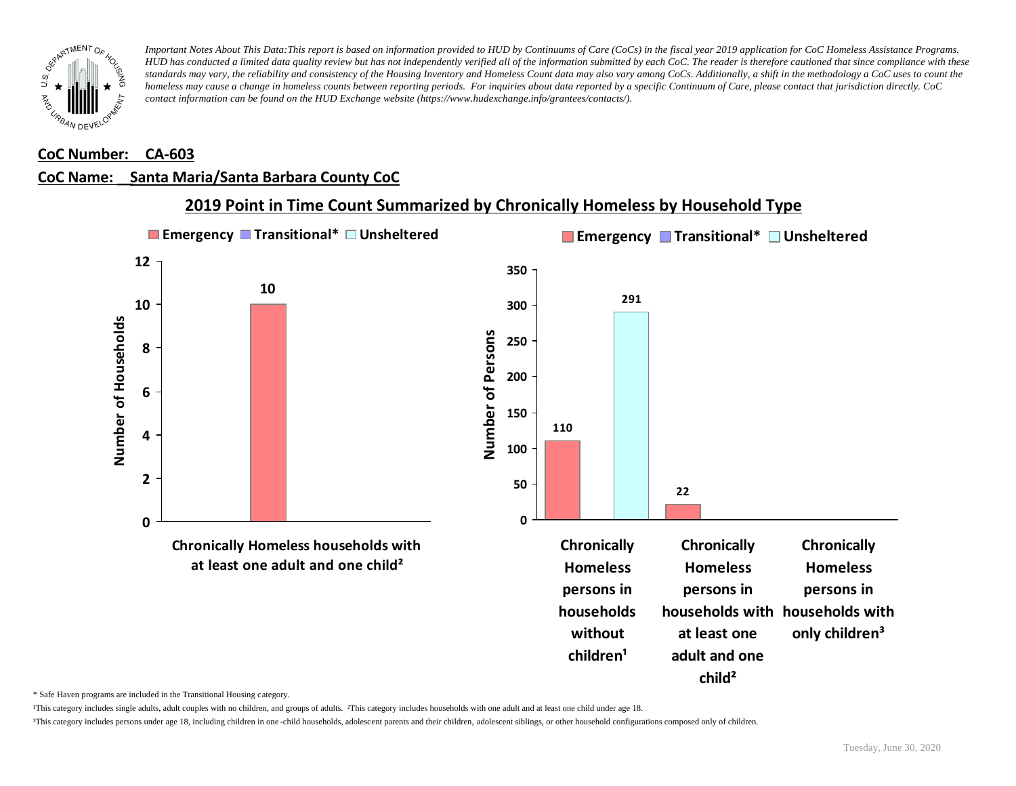

#### **CoC Number: CA-603**

## **CoC Name: \_\_ Santa Maria/Santa Barbara County CoC**



**2019 Point in Time Count Summarized by Chronically Homeless by Household Type**

\* Safe Haven programs are included in the Transitional Housing category.

¹This category includes single adults, adult couples with no children, and groups of adults. ²This category includes households with one adult and at least one child under age 18.

³This category includes persons under age 18, including children in one -child households, adolescent parents and their children, adolescent siblings, or other household configurations composed only of children.